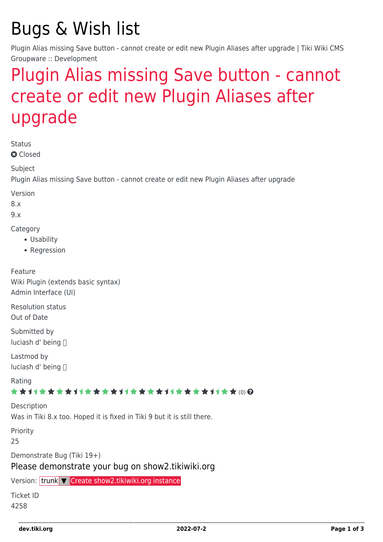# Bugs & Wish list

Plugin Alias missing Save button - cannot create or edit new Plugin Aliases after upgrade | Tiki Wiki CMS Groupware :: Development

## [Plugin Alias missing Save button - cannot](https://dev.tiki.org/item4258-Plugin-Alias-missing-Save-button-cannot-create-or-edit-new-Plugin-Aliases-after-upgrade) [create or edit new Plugin Aliases after](https://dev.tiki.org/item4258-Plugin-Alias-missing-Save-button-cannot-create-or-edit-new-Plugin-Aliases-after-upgrade) [upgrade](https://dev.tiki.org/item4258-Plugin-Alias-missing-Save-button-cannot-create-or-edit-new-Plugin-Aliases-after-upgrade)

**Status** 

**Q** Closed

Subject

Plugin Alias missing Save button - cannot create or edit new Plugin Aliases after upgrade

Version

8.x

9.x

**Category** 

- Usability
- Regression

Feature Wiki Plugin (extends basic syntax) Admin Interface (UI)

Resolution status Out of Date

Submitted by luciash d' being

Lastmod by luciash d' being

Rating

\*\*\*\*\*\*\*\*\*\*\*\*\*\*\*\*\*\*\*\*\*\*\*\*\*\*\*\*\*\*

Description

Was in Tiki 8.x too. Hoped it is fixed in Tiki 9 but it is still there.

Priority

25

Demonstrate Bug (Tiki 19+)

#### Please demonstrate your bug on show2.tikiwiki.org

Version: trunk ▼ [Create show2.tikiwiki.org instance](#page--1-0)

Ticket ID 4258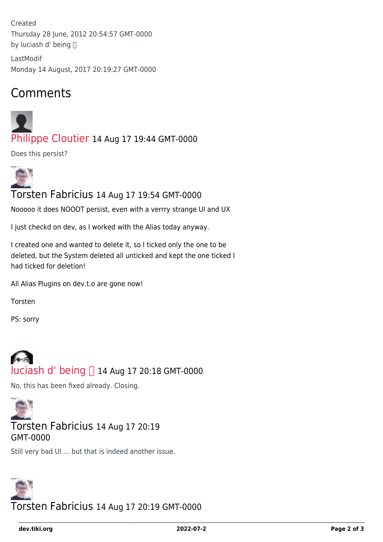Created Thursday 28 June, 2012 20:54:57 GMT-0000 by luciash d' being

LastModif Monday 14 August, 2017 20:19:27 GMT-0000

### Comments



[Philippe Cloutier](https://dev.tiki.org/user232) 14 Aug 17 19:44 GMT-0000

Does this persist?



Torsten Fabricius 14 Aug 17 19:54 GMT-0000

Nooooo it does NOOOT persist, even with a verrry strange UI and UX

I just checkd on dev, as I worked with the Alias today anyway.

I created one and wanted to delete it, so I ticked only the one to be deleted, but the System deleted all unticked and kept the one ticked I had ticked for deletion!

All Alias Plugins on dev.t.o are gone now!

Torsten

PS: sorry



No, this has been fixed already. Closing.



#### Torsten Fabricius 14 Aug 17 20:19 GMT-0000

Still very bad UI ... but that is indeed another issue.



Torsten Fabricius 14 Aug 17 20:19 GMT-0000